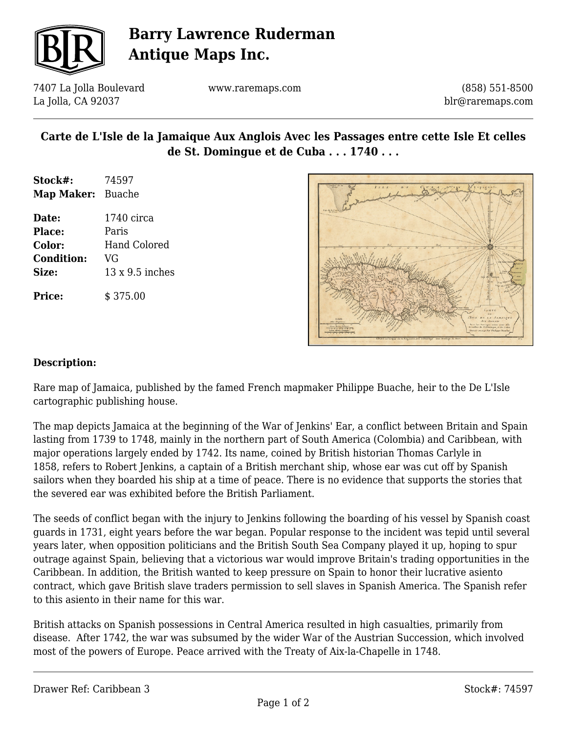

# **Barry Lawrence Ruderman Antique Maps Inc.**

7407 La Jolla Boulevard La Jolla, CA 92037

www.raremaps.com

(858) 551-8500 blr@raremaps.com

### **Carte de L'Isle de la Jamaique Aux Anglois Avec les Passages entre cette Isle Et celles de St. Domingue et de Cuba . . . 1740 . . .**

- **Stock#:** 74597 **Map Maker:** Buache
- **Date:** 1740 circa **Place:** Paris **Color:** Hand Colored **Condition:** VG **Size:** 13 x 9.5 inches **Price:**  $\qquad$  \$ 375.00



#### **Description:**

Rare map of Jamaica, published by the famed French mapmaker Philippe Buache, heir to the De L'Isle cartographic publishing house.

The map depicts Jamaica at the beginning of the War of Jenkins' Ear, a conflict between Britain and Spain lasting from 1739 to 1748, mainly in the northern part of South America (Colombia) and Caribbean, with major operations largely ended by 1742. Its name, coined by British historian Thomas Carlyle in 1858, refers to Robert Jenkins, a captain of a British merchant ship, whose ear was cut off by Spanish sailors when they boarded his ship at a time of peace. There is no evidence that supports the stories that the severed ear was exhibited before the British Parliament.

The seeds of conflict began with the injury to Jenkins following the boarding of his vessel by Spanish coast guards in 1731, eight years before the war began. Popular response to the incident was tepid until several years later, when opposition politicians and the British South Sea Company played it up, hoping to spur outrage against Spain, believing that a victorious war would improve Britain's trading opportunities in the Caribbean. In addition, the British wanted to keep pressure on Spain to honor their lucrative asiento contract, which gave British slave traders permission to sell slaves in Spanish America. The Spanish refer to this asiento in their name for this war.

British attacks on Spanish possessions in Central America resulted in high casualties, primarily from disease. After 1742, the war was subsumed by the wider War of the Austrian Succession, which involved most of the powers of Europe. Peace arrived with the Treaty of Aix-la-Chapelle in 1748.